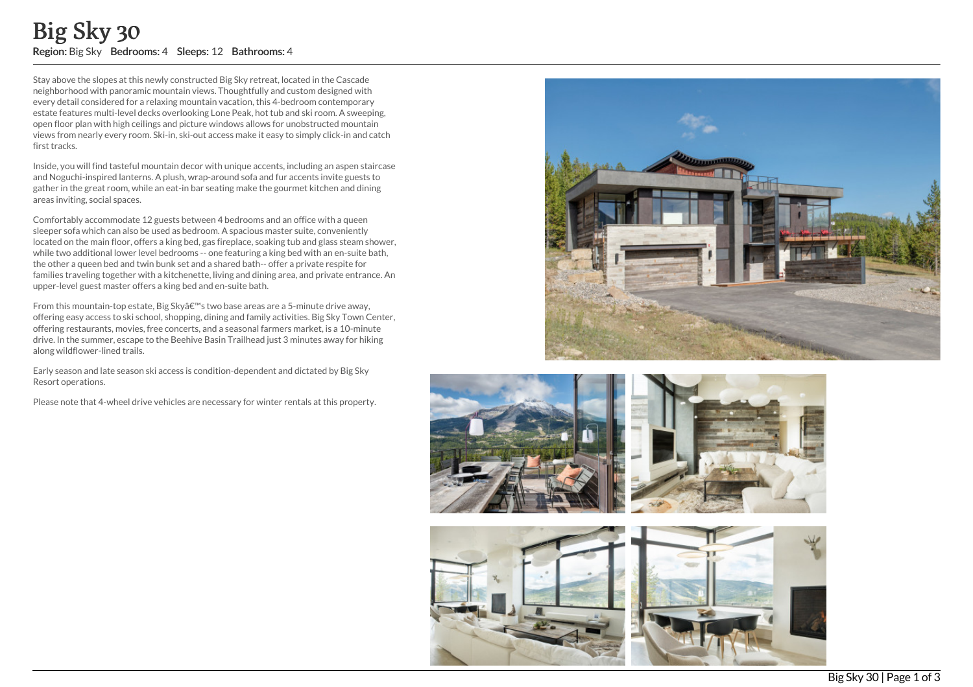## Big Sky 30 Region: Big Sky Bedrooms: 4 Sleeps: 12 Bathrooms: 4

Stay above the slopes at this newly constructed Big Sky retreat, located in the Cascade neighborhood with panoramic mountain views. Thoughtfully and custom designed with every detail considered for a relaxing mountain vacation, this 4-bedroom contemporary estate features multi-level decks overlooking Lone Peak, hot tub and ski room. A sweeping, open floor plan with high ceilings and picture windows allows for unobstructed mountain views from nearly every room. Ski-in, ski-out access make it easy to simply click-in and catch first tracks.

Inside, you will find tasteful mountain decor with unique accents, including an aspen staircase and Noguchi-inspired lanterns. A plush, wrap-around sofa and fur accents invite guests to gather in the great room, while an eat-in bar seating make the gourmet kitchen and dining areas inviting, social spaces.

Comfortably accommodate 12 guests between 4 bedrooms and an office with a queen sleeper sofa which can also be used as bedroom. A spacious master suite, conveniently located on the main floor, offers a king bed, gas fireplace, soaking tub and glass steam shower, while two additional lower level bedrooms -- one featuring a king bed with an en-suite bath, the other a queen bed and twin bunk set and a shared bath-- offer a private respite for families traveling together with a kitchenette, living and dining area, and private entrance. An upper-level guest master offers a king bed and en-suite bath.

From this mountain-top estate, Big Sky's two base areas are a 5-minute drive away, offering easy access to ski school, shopping, dining and family activities. Big Sky Town Center, offering restaurants, movies, free concerts, and a seasonal farmers market, is a 10-minute drive. In the summer, escape to the Beehive Basin Trailhead just 3 minutes away for hiking along wildflower-lined trails.

Early season and late season ski access is condition-dependent and dictated by Big Sky Resort operations.

Please note that 4-wheel drive vehicles are necessary for winter rentals at this property.





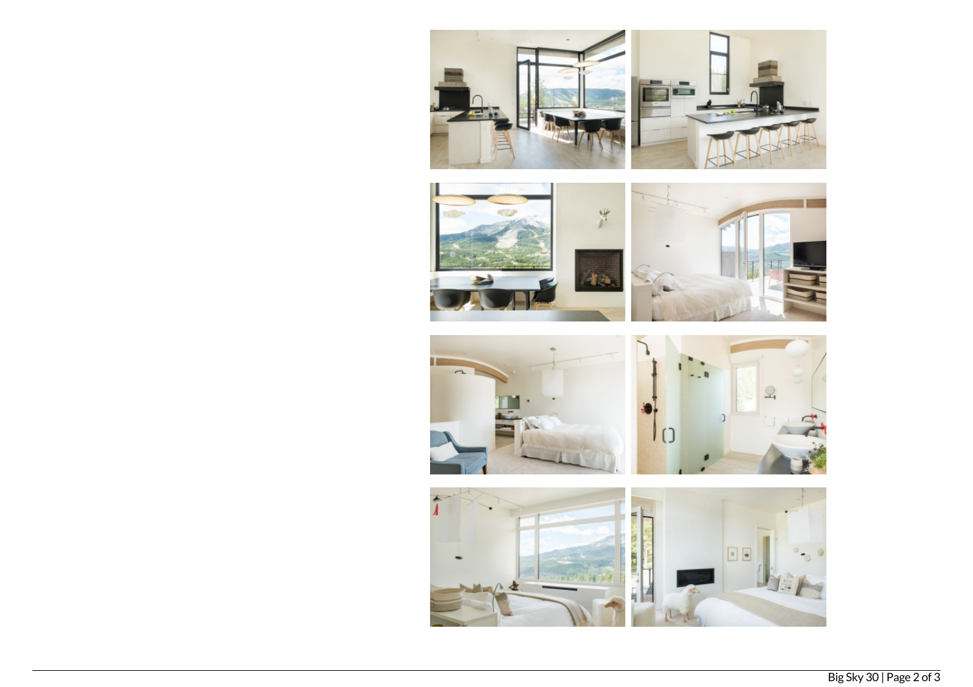